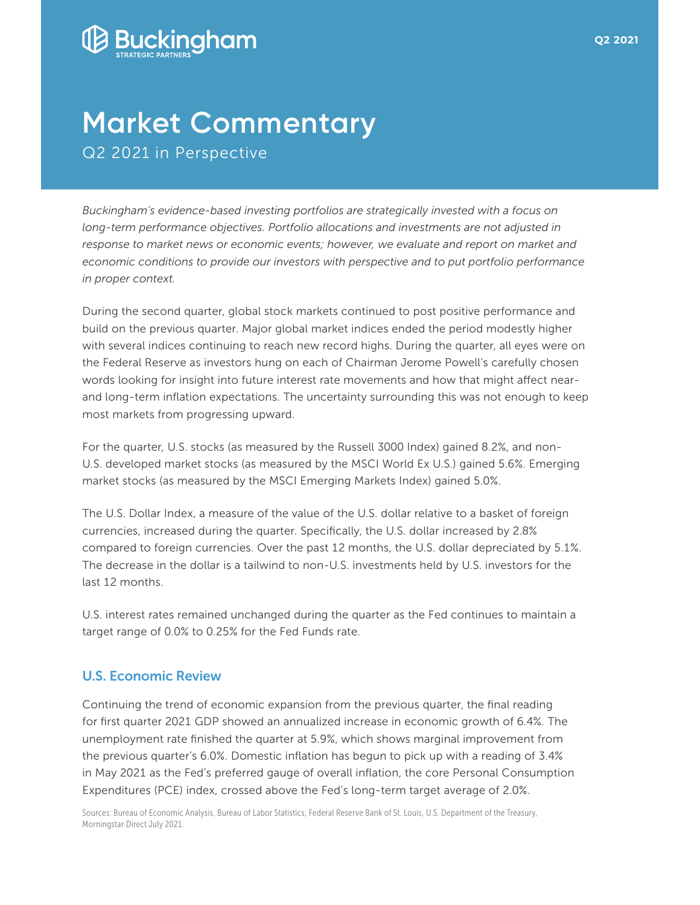

## **Market Commentary** Q2 2021 in Perspective

*Buckingham's evidence-based investing portfolios are strategically invested with a focus on long-term performance objectives. Portfolio allocations and investments are not adjusted in*  response to market news or economic events; however, we evaluate and report on market and *economic conditions to provide our investors with perspective and to put portfolio performance in proper context.*

During the second quarter, global stock markets continued to post positive performance and build on the previous quarter. Major global market indices ended the period modestly higher with several indices continuing to reach new record highs. During the quarter, all eyes were on the Federal Reserve as investors hung on each of Chairman Jerome Powell's carefully chosen words looking for insight into future interest rate movements and how that might affect nearand long-term inflation expectations. The uncertainty surrounding this was not enough to keep most markets from progressing upward.

For the quarter, U.S. stocks (as measured by the Russell 3000 Index) gained 8.2%, and non-U.S. developed market stocks (as measured by the MSCI World Ex U.S.) gained 5.6%. Emerging market stocks (as measured by the MSCI Emerging Markets Index) gained 5.0%.

The U.S. Dollar Index, a measure of the value of the U.S. dollar relative to a basket of foreign currencies, increased during the quarter. Specifically, the U.S. dollar increased by 2.8% compared to foreign currencies. Over the past 12 months, the U.S. dollar depreciated by 5.1%. The decrease in the dollar is a tailwind to non-U.S. investments held by U.S. investors for the last 12 months.

U.S. interest rates remained unchanged during the quarter as the Fed continues to maintain a target range of 0.0% to 0.25% for the Fed Funds rate.

## U.S. Economic Review

Continuing the trend of economic expansion from the previous quarter, the final reading for first quarter 2021 GDP showed an annualized increase in economic growth of 6.4%. The unemployment rate finished the quarter at 5.9%, which shows marginal improvement from the previous quarter's 6.0%. Domestic inflation has begun to pick up with a reading of 3.4% in May 2021 as the Fed's preferred gauge of overall inflation, the core Personal Consumption Expenditures (PCE) index, crossed above the Fed's long-term target average of 2.0%.

Sources: Bureau of Economic Analysis, Bureau of Labor Statistics, Federal Reserve Bank of St. Louis, U.S. Department of the Treasury, Morningstar Direct July 2021.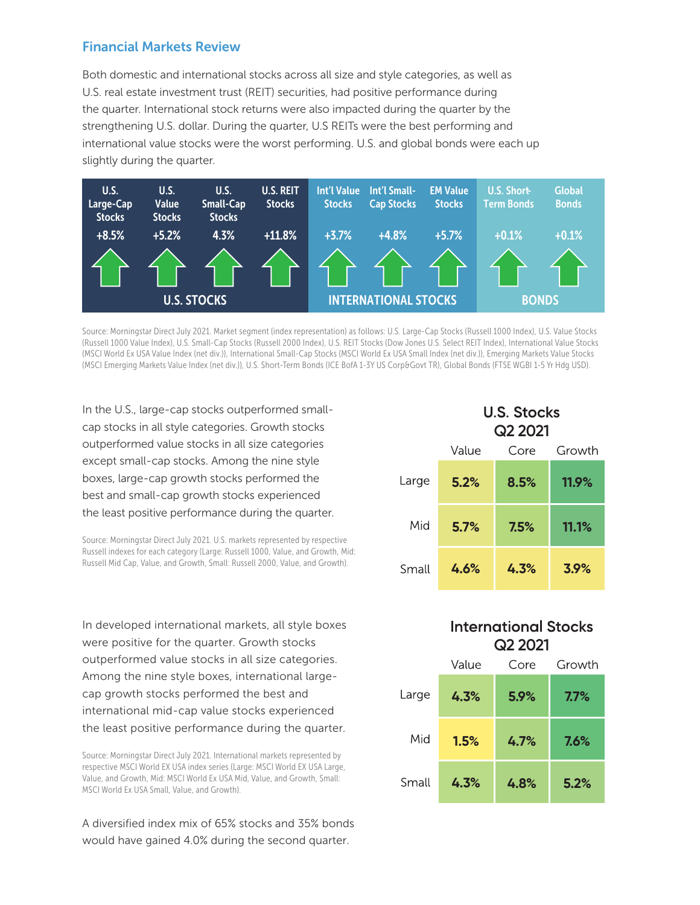## Financial Markets Review

Both domestic and international stocks across all size and style categories, as well as U.S. real estate investment trust (REIT) securities, had positive performance during the quarter. International stock returns were also impacted during the quarter by the strengthening U.S. dollar. During the quarter, U.S REITs were the best performing and international value stocks were the worst performing. U.S. and global bonds were each up slightly during the quarter.



Source: Morningstar Direct July 2021. Market segment (index representation) as follows: U.S. Large-Cap Stocks (Russell 1000 Index), U.S. Value Stocks (Russell 1000 Value Index), U.S. Small-Cap Stocks (Russell 2000 Index), U.S. REIT Stocks (Dow Jones U.S. Select REIT Index), International Value Stocks (MSCI World Ex USA Value Index (net div.)), International Small-Cap Stocks (MSCI World Ex USA Small Index (net div.)), Emerging Markets Value Stocks (MSCI Emerging Markets Value Index (net div.)), U.S. Short-Term Bonds (ICE BofA 1-3Y US Corp&Govt TR), Global Bonds (FTSE WGBI 1-5 Yr Hdg USD).

In the U.S., large-cap stocks outperformed smallcap stocks in all style categories. Growth stocks outperformed value stocks in all size categories except small-cap stocks. Among the nine style boxes, large-cap growth stocks performed the best and small-cap growth stocks experienced the least positive performance during the quarter.

Source: Morningstar Direct July 2021. U.S. markets represented by respective Russell indexes for each category (Large: Russell 1000, Value, and Growth, Mid: Russell Mid Cap, Value, and Growth, Small: Russell 2000, Value, and Growth).

In developed international markets, all style boxes were positive for the quarter. Growth stocks outperformed value stocks in all size categories. Among the nine style boxes, international largecap growth stocks performed the best and international mid-cap value stocks experienced the least positive performance during the quarter.

Source: Morningstar Direct July 2021. International markets represented by respective MSCI World EX USA index series (Large: MSCI World EX USA Large, Value, and Growth, Mid: MSCI World Ex USA Mid, Value, and Growth, Small: MSCI World Ex USA Small, Value, and Growth).

A diversified index mix of 65% stocks and 35% bonds would have gained 4.0% during the second quarter.

|       | <b>U.S. Stocks</b><br>Q <sub>2</sub> 2021 |      |        |  |
|-------|-------------------------------------------|------|--------|--|
|       | Value                                     | Core | Growth |  |
| Large | 5.2%                                      | 8.5% | 11.9%  |  |
| Mid   | 5.7%                                      | 7.5% | 11.1%  |  |
| Small | 4.6%                                      | 4.3% | 3.9%   |  |

## **International Stocks Q2 2021**

|       | Value | Core | Growth  |
|-------|-------|------|---------|
| Large | 4.3%  | 5.9% | $7.7\%$ |
| Mid   | 1.5%  | 4.7% | 7.6%    |
| Small | 4.3%  | 4.8% | 5.2%    |